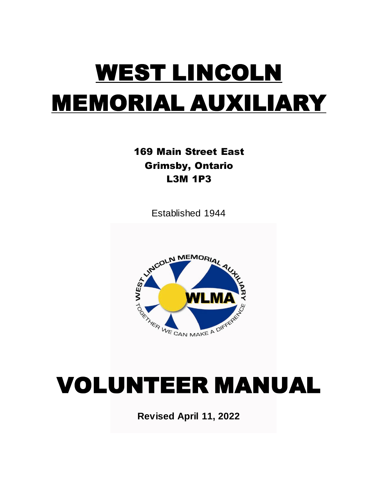# WEST LINCOLN MEMORIAL AUXILIARY

169 Main Street East Grimsby, Ontario L3M 1P3

Established 1944



## VOLUNTEER MANUAL

**Revised April 11, 2022**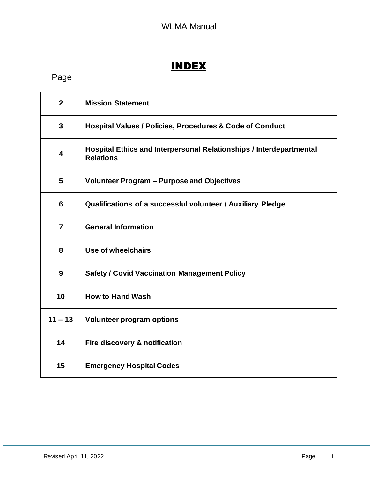## INDEX

## Page

| $\mathbf{2}$    | <b>Mission Statement</b>                                                                |
|-----------------|-----------------------------------------------------------------------------------------|
| $\mathbf{3}$    | <b>Hospital Values / Policies, Procedures &amp; Code of Conduct</b>                     |
| 4               | Hospital Ethics and Interpersonal Relationships / Interdepartmental<br><b>Relations</b> |
| 5               | <b>Volunteer Program - Purpose and Objectives</b>                                       |
| $6\phantom{1}6$ | Qualifications of a successful volunteer / Auxiliary Pledge                             |
| $\overline{7}$  | <b>General Information</b>                                                              |
| 8               | Use of wheelchairs                                                                      |
| 9               | <b>Safety / Covid Vaccination Management Policy</b>                                     |
| 10              | <b>How to Hand Wash</b>                                                                 |
| $11 - 13$       | <b>Volunteer program options</b>                                                        |
| 14              | Fire discovery & notification                                                           |
| 15              | <b>Emergency Hospital Codes</b>                                                         |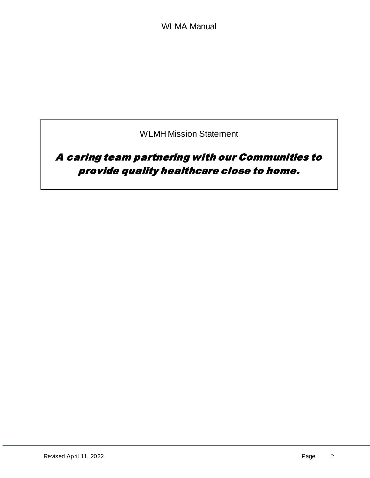WLMH Mission Statement

## A caring team partnering with our Communities to provide quality healthcare close to home.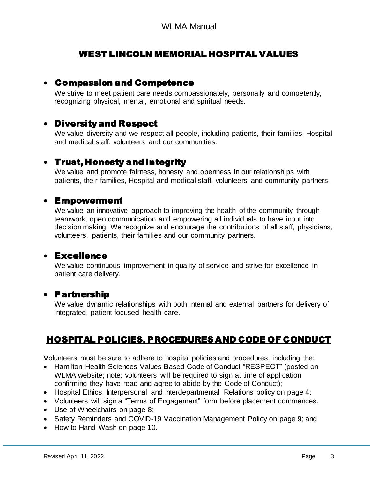## WEST LINCOLN MEMORIAL HOSPITAL VALUES

#### Compassion and Competence

We strive to meet patient care needs compassionately, personally and competently, recognizing physical, mental, emotional and spiritual needs.

## Diversity and Respect

We value diversity and we respect all people, including patients, their families, Hospital and medical staff, volunteers and our communities.

#### Trust, Honesty and Integrity

We value and promote fairness, honesty and openness in our relationships with patients, their families, Hospital and medical staff, volunteers and community partners.

#### Empowerment

We value an innovative approach to improving the health of the community through teamwork, open communication and empowering all individuals to have input into decision making. We recognize and encourage the contributions of all staff, physicians, volunteers, patients, their families and our community partners.

## Excellence

We value continuous improvement in quality of service and strive for excellence in patient care delivery.

#### Partnership

We value dynamic relationships with both internal and external partners for delivery of integrated, patient-focused health care.

## HOSPITAL POLICIES, PROCEDURES AND CODE OF CONDUCT

Volunteers must be sure to adhere to hospital policies and procedures, including the:

- Hamilton Health Sciences Values-Based Code of Conduct "RESPECT" (posted on WLMA website; note: volunteers will be required to sign at time of application confirming they have read and agree to abide by the Code of Conduct);
- Hospital Ethics, Interpersonal and Interdepartmental Relations policy on page 4;
- Volunteers will sign a "Terms of Engagement" form before placement commences.
- Use of Wheelchairs on page 8;
- Safety Reminders and COVID-19 Vaccination Management Policy on page 9; and
- How to Hand Wash on page 10.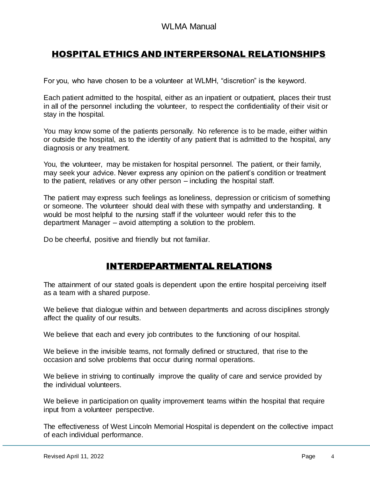## HOSPITAL ETHICS AND INTERPERSONAL RELATIONSHIPS

For you, who have chosen to be a volunteer at WLMH, "discretion" is the keyword.

Each patient admitted to the hospital, either as an inpatient or outpatient, places their trust in all of the personnel including the volunteer, to respect the confidentiality of their visit or stay in the hospital.

You may know some of the patients personally. No reference is to be made, either within or outside the hospital, as to the identity of any patient that is admitted to the hospital, any diagnosis or any treatment.

You, the volunteer, may be mistaken for hospital personnel. The patient, or their family, may seek your advice. Never express any opinion on the patient's condition or treatment to the patient, relatives or any other person – including the hospital staff.

The patient may express such feelings as loneliness, depression or criticism of something or someone. The volunteer should deal with these with sympathy and understanding. It would be most helpful to the nursing staff if the volunteer would refer this to the department Manager – avoid attempting a solution to the problem.

Do be cheerful, positive and friendly but not familiar.

## INTERDEPARTMENTAL RELATIONS

The attainment of our stated goals is dependent upon the entire hospital perceiving itself as a team with a shared purpose.

We believe that dialogue within and between departments and across disciplines strongly affect the quality of our results.

We believe that each and every job contributes to the functioning of our hospital.

We believe in the invisible teams, not formally defined or structured, that rise to the occasion and solve problems that occur during normal operations.

We believe in striving to continually improve the quality of care and service provided by the individual volunteers.

We believe in participation on quality improvement teams within the hospital that require input from a volunteer perspective.

The effectiveness of West Lincoln Memorial Hospital is dependent on the collective impact of each individual performance.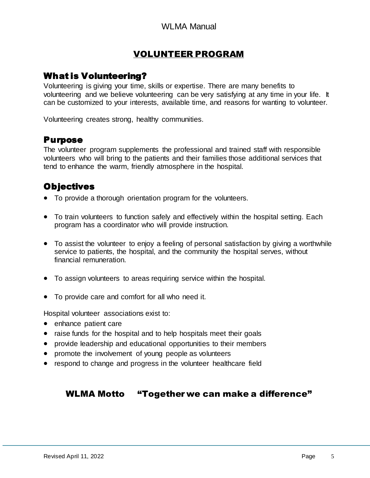## VOLUNTEER PROGRAM

## What is Volunteering?

Volunteering is giving your time, skills or expertise. There are many benefits to volunteering and we believe volunteering can be very satisfying at any time in your life. It can be customized to your interests, available time, and reasons for wanting to volunteer.

Volunteering creates strong, healthy communities.

#### Purpose

The volunteer program supplements the professional and trained staff with responsible volunteers who will bring to the patients and their families those additional services that tend to enhance the warm, friendly atmosphere in the hospital.

## **Objectives**

- To provide a thorough orientation program for the volunteers.
- To train volunteers to function safely and effectively within the hospital setting. Each program has a coordinator who will provide instruction.
- To assist the volunteer to enjoy a feeling of personal satisfaction by giving a worthwhile service to patients, the hospital, and the community the hospital serves, without financial remuneration.
- To assign volunteers to areas requiring service within the hospital.
- To provide care and comfort for all who need it.

Hospital volunteer associations exist to:

- enhance patient care
- raise funds for the hospital and to help hospitals meet their goals
- provide leadership and educational opportunities to their members
- promote the involvement of young people as volunteers
- respond to change and progress in the volunteer healthcare field

#### WLMA Motto "Together we can make a difference"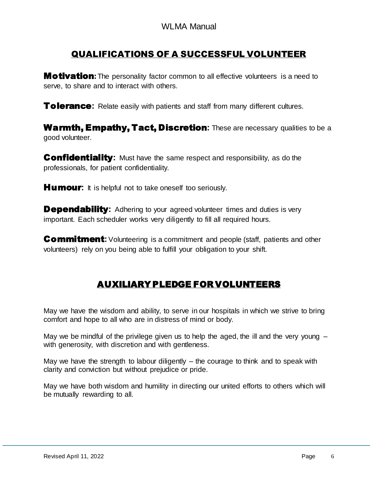## QUALIFICATIONS OF A SUCCESSFUL VOLUNTEER

**Motivation:** The personality factor common to all effective volunteers is a need to serve, to share and to interact with others.

**Tolerance:** Relate easily with patients and staff from many different cultures.

Warmth, Empathy, Tact, Discretion: These are necessary qualities to be a good volunteer.

**Confidentiality:** Must have the same respect and responsibility, as do the professionals, for patient confidentiality.

**Humour:** It is helpful not to take oneself too seriously.

**Dependability:** Adhering to your agreed volunteer times and duties is very important. Each scheduler works very diligently to fill all required hours.

**Commitment:** Volunteering is a commitment and people (staff, patients and other volunteers) rely on you being able to fulfill your obligation to your shift.

## AUXILIARY PLEDGE FOR VOLUNTEERS

May we have the wisdom and ability, to serve in our hospitals in which we strive to bring comfort and hope to all who are in distress of mind or body.

May we be mindful of the privilege given us to help the aged, the ill and the very young  $$ with generosity, with discretion and with gentleness.

May we have the strength to labour diligently  $-$  the courage to think and to speak with clarity and conviction but without prejudice or pride.

May we have both wisdom and humility in directing our united efforts to others which will be mutually rewarding to all.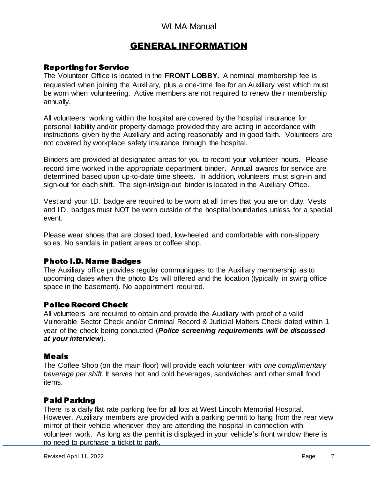## GENERAL INFORMATION

#### Reporting for Service

The Volunteer Office is located in the **FRONT LOBBY.** A nominal membership fee is requested when joining the Auxiliary, plus a one-time fee for an Auxiliary vest which must be worn when volunteering. Active members are not required to renew their membership annually.

All volunteers working within the hospital are covered by the hospital insurance for personal liability and/or property damage provided they are acting in accordance with instructions given by the Auxiliary and acting reasonably and in good faith. Volunteers are not covered by workplace safety insurance through the hospital.

Binders are provided at designated areas for you to record your volunteer hours. Please record time worked in the appropriate department binder. Annual awards for service are determined based upon up-to-date time sheets. In addition, volunteers must sign-in and sign-out for each shift. The sign-in/sign-out binder is located in the Auxiliary Office.

Vest and your I.D. badge are required to be worn at all times that you are on duty. Vests and I.D. badges must NOT be worn outside of the hospital boundaries unless for a special event.

Please wear shoes that are closed toed, low-heeled and comfortable with non-slippery soles. No sandals in patient areas or coffee shop.

#### Photo I.D. Name Badges

The Auxiliary office provides regular communiques to the Auxiliary membership as to upcoming dates when the photo IDs will offered and the location (typically in swing office space in the basement). No appointment required.

#### Police Record Check

All volunteers are required to obtain and provide the Auxiliary with proof of a valid Vulnerable Sector Check and/or Criminal Record & Judicial Matters Check dated within 1 year of the check being conducted (*Police screening requirements will be discussed at your interview*).

#### Meals

The Coffee Shop (on the main floor) will provide each volunteer with *one complimentary beverage per shift.* It serves hot and cold beverages, sandwiches and other small food items.

#### Paid Parking

There is a daily flat rate parking fee for all lots at West Lincoln Memorial Hospital. However, Auxiliary members are provided with a parking permit to hang from the rear view mirror of their vehicle whenever they are attending the hospital in connection with volunteer work. As long as the permit is displayed in your vehicle's front window there is no need to purchase a ticket to park.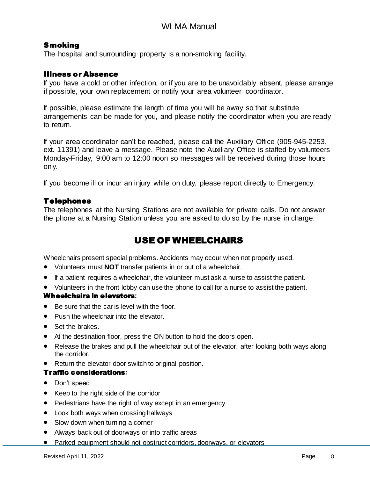#### **Smoking**

The hospital and surrounding property is a non-smoking facility.

#### Illness or Absence

If you have a cold or other infection, or if you are to be unavoidably absent, please arrange if possible, your own replacement or notify your area volunteer coordinator.

If possible, please estimate the length of time you will be away so that substitute arrangements can be made for you, and please notify the coordinator when you are ready to return.

If your area coordinator can't be reached, please call the Auxiliary Office (905-945-2253, ext. 11391) and leave a message. Please note the Auxiliary Office is staffed by volunteers Monday-Friday, 9:00 am to 12:00 noon so messages will be received during those hours only.

If you become ill or incur an injury while on duty, please report directly to Emergency.

#### Telephones

The telephones at the Nursing Stations are not available for private calls. Do not answer the phone at a Nursing Station unless you are asked to do so by the nurse in charge.

## USE OF WHEELCHAIRS

Wheelchairs present special problems. Accidents may occur when not properly used.

- Volunteers must **NOT** transfer patients in or out of a wheelchair.
- If a patient requires a wheelchair, the volunteer must ask a nurse to assist the patient.
- Volunteers in the front lobby can use the phone to call for a nurse to assist the patient.

#### Wheelchairs in elevators**:**

- Be sure that the car is level with the floor.
- Push the wheelchair into the elevator.
- Set the brakes.
- At the destination floor, press the ON button to hold the doors open.
- Release the brakes and pull the wheelchair out of the elevator, after looking both ways along the corridor.
- Return the elevator door switch to original position.

#### Traffic considerations**:**

- Don't speed
- Keep to the right side of the corridor
- Pedestrians have the right of way except in an emergency
- Look both ways when crossing hallways
- Slow down when turning a corner
- Always back out of doorways or into traffic areas
- Parked equipment should not obstruct corridors, doorways, or elevators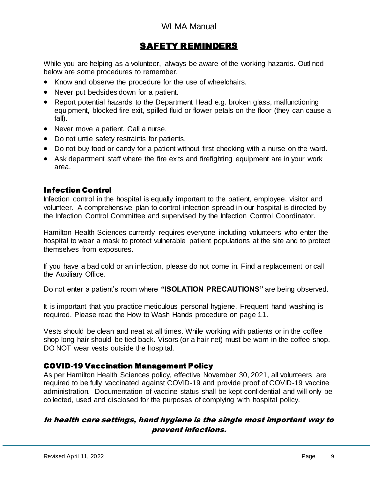## SAFETY REMINDERS

While you are helping as a volunteer, always be aware of the working hazards. Outlined below are some procedures to remember.

- Know and observe the procedure for the use of wheelchairs.
- Never put bedsides down for a patient.
- Report potential hazards to the Department Head e.g. broken glass, malfunctioning equipment, blocked fire exit, spilled fluid or flower petals on the floor (they can cause a fall).
- Never move a patient. Call a nurse.
- Do not untie safety restraints for patients.
- Do not buy food or candy for a patient without first checking with a nurse on the ward.
- Ask department staff where the fire exits and firefighting equipment are in your work area.

#### Infection Control

Infection control in the hospital is equally important to the patient, employee, visitor and volunteer. A comprehensive plan to control infection spread in our hospital is directed by the Infection Control Committee and supervised by the Infection Control Coordinator.

Hamilton Health Sciences currently requires everyone including volunteers who enter the hospital to wear a mask to protect vulnerable patient populations at the site and to protect themselves from exposures.

If you have a bad cold or an infection, please do not come in. Find a replacement or call the Auxiliary Office.

Do not enter a patient's room where **"ISOLATION PRECAUTIONS"** are being observed.

It is important that you practice meticulous personal hygiene. Frequent hand washing is required. Please read the How to Wash Hands procedure on page 11.

Vests should be clean and neat at all times. While working with patients or in the coffee shop long hair should be tied back*.* Visors (or a hair net) must be worn in the coffee shop. DO NOT wear vests outside the hospital.

#### COVID-19 Vaccination Management Policy

As per Hamilton Health Sciences policy, effective November 30, 2021, all volunteers are required to be fully vaccinated against COVID-19 and provide proof of COVID-19 vaccine administration. Documentation of vaccine status shall be kept confidential and will only be collected, used and disclosed for the purposes of complying with hospital policy.

#### In health care settings, hand hygiene is the single most important way to prevent infections.

 $\overline{a}$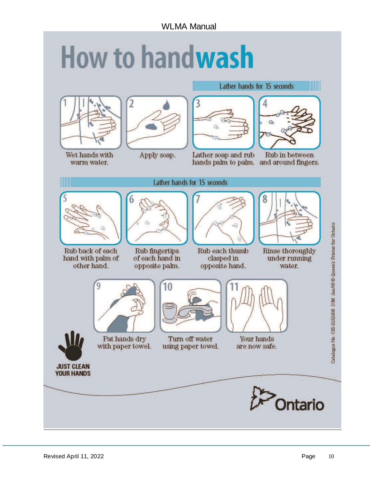# **How to handwash**





Wet hands with warm water.

## Apply soap.



Lather soap and rub hands palm to palm. and around fingers.



Lather hands for 15 seconds

M

Rub in between

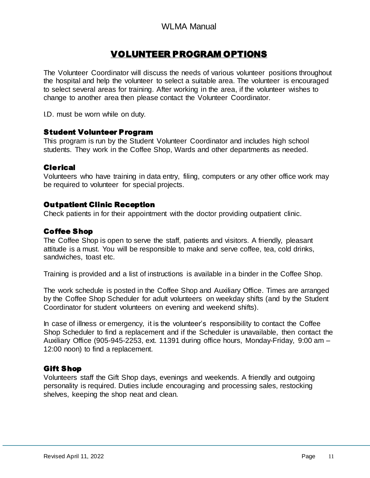## VOLUNTEER PROGRAM OPTIONS

The Volunteer Coordinator will discuss the needs of various volunteer positions throughout the hospital and help the volunteer to select a suitable area. The volunteer is encouraged to select several areas for training. After working in the area, if the volunteer wishes to change to another area then please contact the Volunteer Coordinator.

I.D. must be worn while on duty.

#### Student Volunteer Program

This program is run by the Student Volunteer Coordinator and includes high school students. They work in the Coffee Shop, Wards and other departments as needed.

#### Clerical

Volunteers who have training in data entry, filing, computers or any other office work may be required to volunteer for special projects.

#### Outpatient Clinic Reception

Check patients in for their appointment with the doctor providing outpatient clinic.

#### Coffee Shop

The Coffee Shop is open to serve the staff, patients and visitors. A friendly, pleasant attitude is a must. You will be responsible to make and serve coffee, tea, cold drinks, sandwiches, toast etc.

Training is provided and a list of instructions is available in a binder in the Coffee Shop.

The work schedule is posted in the Coffee Shop and Auxiliary Office. Times are arranged by the Coffee Shop Scheduler for adult volunteers on weekday shifts (and by the Student Coordinator for student volunteers on evening and weekend shifts).

In case of illness or emergency, it is the volunteer's responsibility to contact the Coffee Shop Scheduler to find a replacement and if the Scheduler is unavailable, then contact the Auxiliary Office (905-945-2253, ext. 11391 during office hours, Monday-Friday, 9:00 am – 12:00 noon) to find a replacement.

#### Gift Shop

Volunteers staff the Gift Shop days, evenings and weekends. A friendly and outgoing personality is required. Duties include encouraging and processing sales, restocking shelves, keeping the shop neat and clean.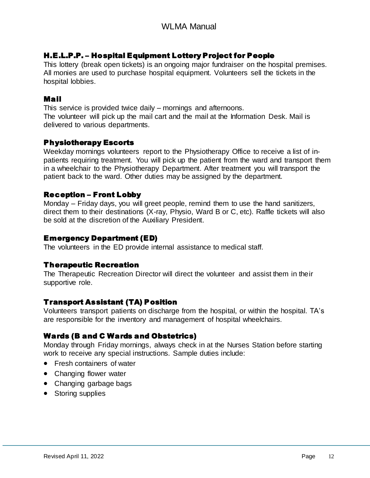#### H.E.L.P.P. – Hospital Equipment Lottery Project for People

This lottery (break open tickets) is an ongoing major fundraiser on the hospital premises. All monies are used to purchase hospital equipment. Volunteers sell the tickets in the hospital lobbies.

#### Mail

This service is provided twice daily – mornings and afternoons. The volunteer will pick up the mail cart and the mail at the Information Desk. Mail is delivered to various departments.

#### Physiotherapy Escorts

Weekday mornings volunteers report to the Physiotherapy Office to receive a list of inpatients requiring treatment. You will pick up the patient from the ward and transport them in a wheelchair to the Physiotherapy Department. After treatment you will transport the patient back to the ward. Other duties may be assigned by the department.

#### Reception – Front Lobby

Monday – Friday days, you will greet people, remind them to use the hand sanitizers, direct them to their destinations (X-ray, Physio, Ward B or C, etc). Raffle tickets will also be sold at the discretion of the Auxiliary President.

#### Emergency Department (ED)

The volunteers in the ED provide internal assistance to medical staff.

#### Therapeutic Recreation

The Therapeutic Recreation Director will direct the volunteer and assist them in their supportive role.

#### Transport Assistant (TA) Position

Volunteers transport patients on discharge from the hospital, or within the hospital. TA's are responsible for the inventory and management of hospital wheelchairs.

#### Wards (B and C Wards and Obstetrics)

Monday through Friday mornings, always check in at the Nurses Station before starting work to receive any special instructions. Sample duties include:

- Fresh containers of water
- Changing flower water
- Changing garbage bags
- Storing supplies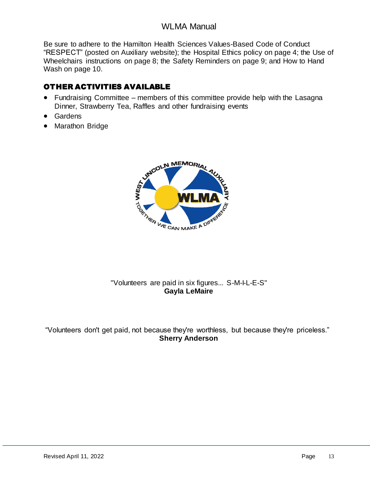Be sure to adhere to the Hamilton Health Sciences Values-Based Code of Conduct "RESPECT" (posted on Auxiliary website); the Hospital Ethics policy on page 4; the Use of Wheelchairs instructions on page 8; the Safety Reminders on page 9; and How to Hand Wash on page 10.

## OTHER ACTIVITIES AVAILABLE

- Fundraising Committee members of this committee provide help with the Lasagna Dinner, Strawberry Tea, Raffles and other fundraising events
- Gardens
- Marathon Bridge



#### "Volunteers are paid in six figures... S-M-I-L-E-S" **Gayla LeMaire**

"Volunteers don't get paid, not because they're worthless, but because they're priceless." **Sherry Anderson**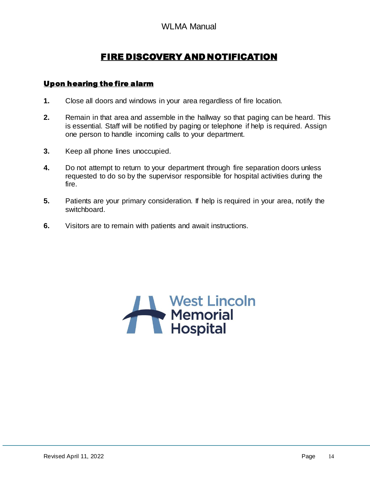## FIRE DISCOVERY AND NOTIFICATION

#### Upon hearing the fire alarm

- **1.** Close all doors and windows in your area regardless of fire location.
- **2.** Remain in that area and assemble in the hallway so that paging can be heard. This is essential. Staff will be notified by paging or telephone if help is required. Assign one person to handle incoming calls to your department.
- **3.** Keep all phone lines unoccupied.
- **4.** Do not attempt to return to your department through fire separation doors unless requested to do so by the supervisor responsible for hospital activities during the fire.
- **5.** Patients are your primary consideration. If help is required in your area, notify the switchboard.
- **6.** Visitors are to remain with patients and await instructions.